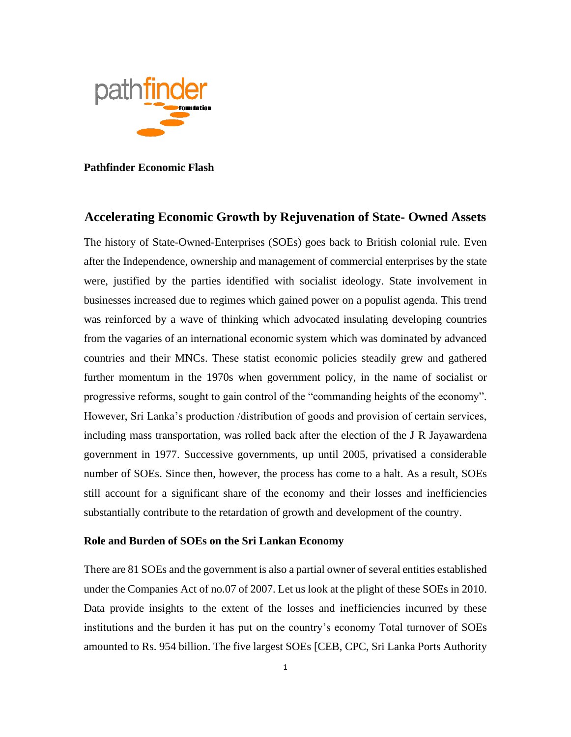

**Pathfinder Economic Flash**

## **Accelerating Economic Growth by Rejuvenation of State- Owned Assets**

The history of State-Owned-Enterprises (SOEs) goes back to British colonial rule. Even after the Independence, ownership and management of commercial enterprises by the state were, justified by the parties identified with socialist ideology. State involvement in businesses increased due to regimes which gained power on a populist agenda. This trend was reinforced by a wave of thinking which advocated insulating developing countries from the vagaries of an international economic system which was dominated by advanced countries and their MNCs. These statist economic policies steadily grew and gathered further momentum in the 1970s when government policy, in the name of socialist or progressive reforms, sought to gain control of the "commanding heights of the economy". However, Sri Lanka's production /distribution of goods and provision of certain services, including mass transportation, was rolled back after the election of the J R Jayawardena government in 1977. Successive governments, up until 2005, privatised a considerable number of SOEs. Since then, however, the process has come to a halt. As a result, SOEs still account for a significant share of the economy and their losses and inefficiencies substantially contribute to the retardation of growth and development of the country.

#### **Role and Burden of SOEs on the Sri Lankan Economy**

There are 81 SOEs and the government is also a partial owner of several entities established under the Companies Act of no.07 of 2007. Let us look at the plight of these SOEs in 2010. Data provide insights to the extent of the losses and inefficiencies incurred by these institutions and the burden it has put on the country's economy Total turnover of SOEs amounted to Rs. 954 billion. The five largest SOEs [CEB, CPC, Sri Lanka Ports Authority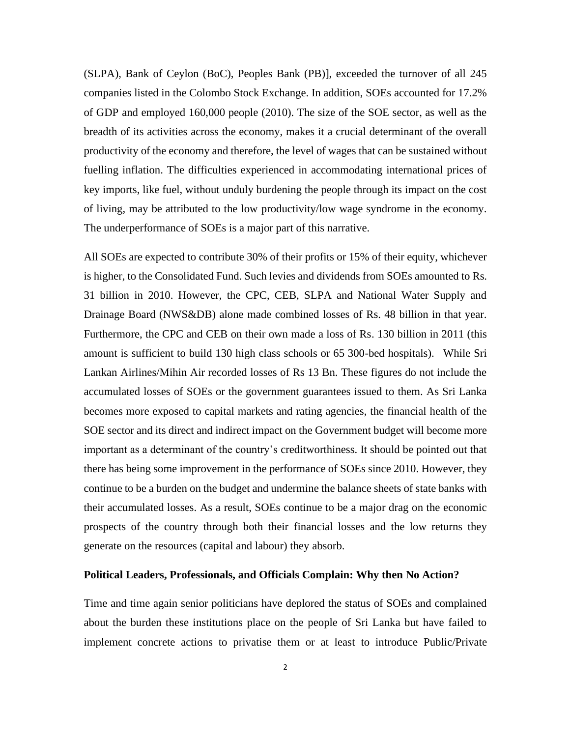(SLPA), Bank of Ceylon (BoC), Peoples Bank (PB)], exceeded the turnover of all 245 companies listed in the Colombo Stock Exchange. In addition, SOEs accounted for 17.2% of GDP and employed 160,000 people (2010). The size of the SOE sector, as well as the breadth of its activities across the economy, makes it a crucial determinant of the overall productivity of the economy and therefore, the level of wages that can be sustained without fuelling inflation. The difficulties experienced in accommodating international prices of key imports, like fuel, without unduly burdening the people through its impact on the cost of living, may be attributed to the low productivity/low wage syndrome in the economy. The underperformance of SOEs is a major part of this narrative.

All SOEs are expected to contribute 30% of their profits or 15% of their equity, whichever is higher, to the Consolidated Fund. Such levies and dividends from SOEs amounted to Rs. 31 billion in 2010. However, the CPC, CEB, SLPA and National Water Supply and Drainage Board (NWS&DB) alone made combined losses of Rs. 48 billion in that year. Furthermore, the CPC and CEB on their own made a loss of Rs. 130 billion in 2011 (this amount is sufficient to build 130 high class schools or 65 300-bed hospitals). While Sri Lankan Airlines/Mihin Air recorded losses of Rs 13 Bn. These figures do not include the accumulated losses of SOEs or the government guarantees issued to them. As Sri Lanka becomes more exposed to capital markets and rating agencies, the financial health of the SOE sector and its direct and indirect impact on the Government budget will become more important as a determinant of the country's creditworthiness. It should be pointed out that there has being some improvement in the performance of SOEs since 2010. However, they continue to be a burden on the budget and undermine the balance sheets of state banks with their accumulated losses. As a result, SOEs continue to be a major drag on the economic prospects of the country through both their financial losses and the low returns they generate on the resources (capital and labour) they absorb.

#### **Political Leaders, Professionals, and Officials Complain: Why then No Action?**

Time and time again senior politicians have deplored the status of SOEs and complained about the burden these institutions place on the people of Sri Lanka but have failed to implement concrete actions to privatise them or at least to introduce Public/Private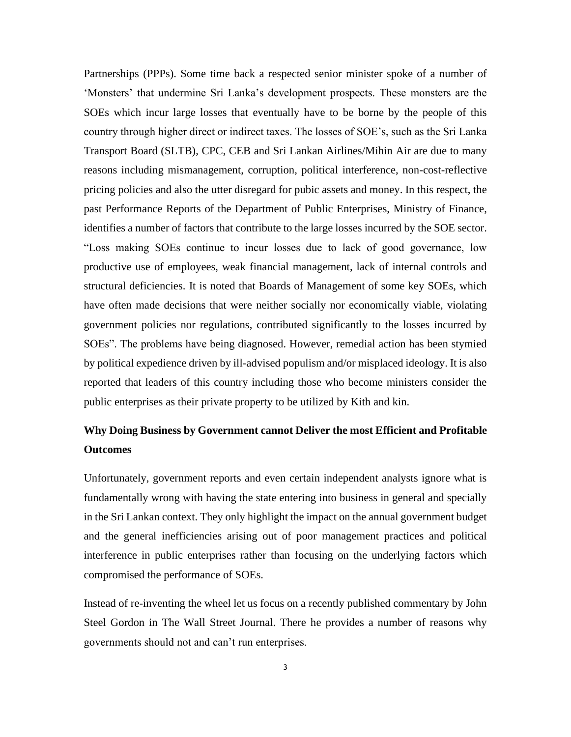Partnerships (PPPs). Some time back a respected senior minister spoke of a number of 'Monsters' that undermine Sri Lanka's development prospects. These monsters are the SOEs which incur large losses that eventually have to be borne by the people of this country through higher direct or indirect taxes. The losses of SOE's, such as the Sri Lanka Transport Board (SLTB), CPC, CEB and Sri Lankan Airlines/Mihin Air are due to many reasons including mismanagement, corruption, political interference, non-cost-reflective pricing policies and also the utter disregard for pubic assets and money. In this respect, the past Performance Reports of the Department of Public Enterprises, Ministry of Finance, identifies a number of factors that contribute to the large losses incurred by the SOE sector. "Loss making SOEs continue to incur losses due to lack of good governance, low productive use of employees, weak financial management, lack of internal controls and structural deficiencies. It is noted that Boards of Management of some key SOEs, which have often made decisions that were neither socially nor economically viable, violating government policies nor regulations, contributed significantly to the losses incurred by SOEs". The problems have being diagnosed. However, remedial action has been stymied by political expedience driven by ill-advised populism and/or misplaced ideology. It is also reported that leaders of this country including those who become ministers consider the public enterprises as their private property to be utilized by Kith and kin.

# **Why Doing Business by Government cannot Deliver the most Efficient and Profitable Outcomes**

Unfortunately, government reports and even certain independent analysts ignore what is fundamentally wrong with having the state entering into business in general and specially in the Sri Lankan context. They only highlight the impact on the annual government budget and the general inefficiencies arising out of poor management practices and political interference in public enterprises rather than focusing on the underlying factors which compromised the performance of SOEs.

Instead of re-inventing the wheel let us focus on a recently published commentary by John Steel Gordon in The Wall Street Journal. There he provides a number of reasons why governments should not and can't run enterprises.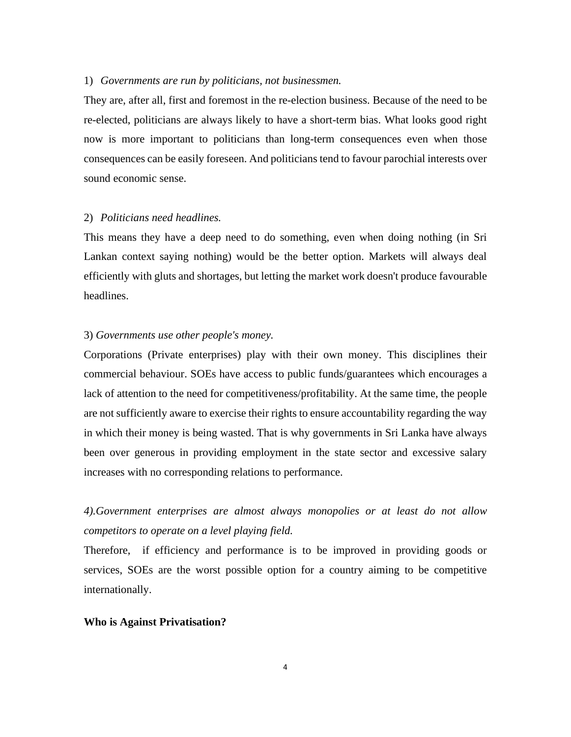#### 1) *Governments are run by politicians, not businessmen.*

They are, after all, first and foremost in the re-election business. Because of the need to be re-elected, politicians are always likely to have a short-term bias. What looks good right now is more important to politicians than long-term consequences even when those consequences can be easily foreseen. And politicians tend to favour parochial interests over sound economic sense.

#### 2) *Politicians need headlines.*

This means they have a deep need to do something, even when doing nothing (in Sri Lankan context saying nothing) would be the better option. Markets will always deal efficiently with gluts and shortages, but letting the market work doesn't produce favourable headlines.

#### 3) *Governments use other people's money.*

Corporations (Private enterprises) play with their own money. This disciplines their commercial behaviour. SOEs have access to public funds/guarantees which encourages a lack of attention to the need for competitiveness/profitability. At the same time, the people are not sufficiently aware to exercise their rights to ensure accountability regarding the way in which their money is being wasted. That is why governments in Sri Lanka have always been over generous in providing employment in the state sector and excessive salary increases with no corresponding relations to performance.

*4).Government enterprises are almost always monopolies or at least do not allow competitors to operate on a level playing field.* 

Therefore, if efficiency and performance is to be improved in providing goods or services, SOEs are the worst possible option for a country aiming to be competitive internationally.

#### **Who is Against Privatisation?**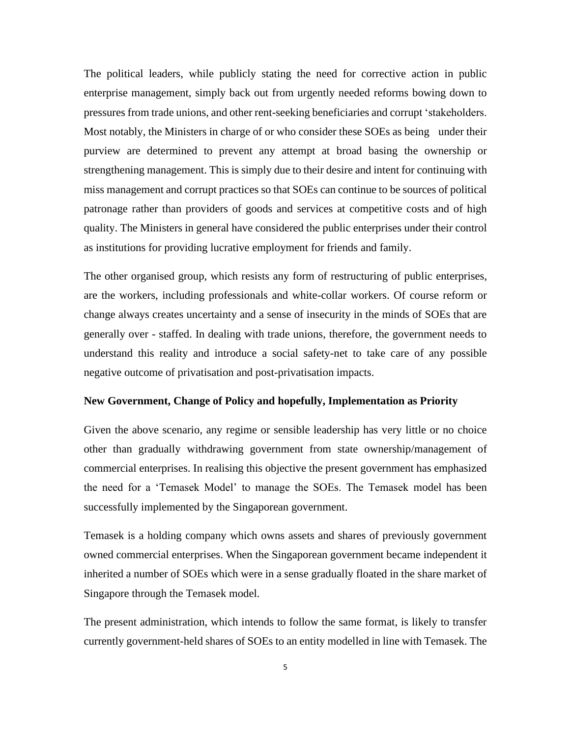The political leaders, while publicly stating the need for corrective action in public enterprise management, simply back out from urgently needed reforms bowing down to pressures from trade unions, and other rent-seeking beneficiaries and corrupt 'stakeholders. Most notably, the Ministers in charge of or who consider these SOEs as being under their purview are determined to prevent any attempt at broad basing the ownership or strengthening management. This is simply due to their desire and intent for continuing with miss management and corrupt practices so that SOEs can continue to be sources of political patronage rather than providers of goods and services at competitive costs and of high quality. The Ministers in general have considered the public enterprises under their control as institutions for providing lucrative employment for friends and family.

The other organised group, which resists any form of restructuring of public enterprises, are the workers, including professionals and white-collar workers. Of course reform or change always creates uncertainty and a sense of insecurity in the minds of SOEs that are generally over - staffed. In dealing with trade unions, therefore, the government needs to understand this reality and introduce a social safety-net to take care of any possible negative outcome of privatisation and post-privatisation impacts.

#### **New Government, Change of Policy and hopefully, Implementation as Priority**

Given the above scenario, any regime or sensible leadership has very little or no choice other than gradually withdrawing government from state ownership/management of commercial enterprises. In realising this objective the present government has emphasized the need for a 'Temasek Model' to manage the SOEs. The Temasek model has been successfully implemented by the Singaporean government.

Temasek is a holding company which owns assets and shares of previously government owned commercial enterprises. When the Singaporean government became independent it inherited a number of SOEs which were in a sense gradually floated in the share market of Singapore through the Temasek model.

The present administration, which intends to follow the same format, is likely to transfer currently government-held shares of SOEs to an entity modelled in line with Temasek. The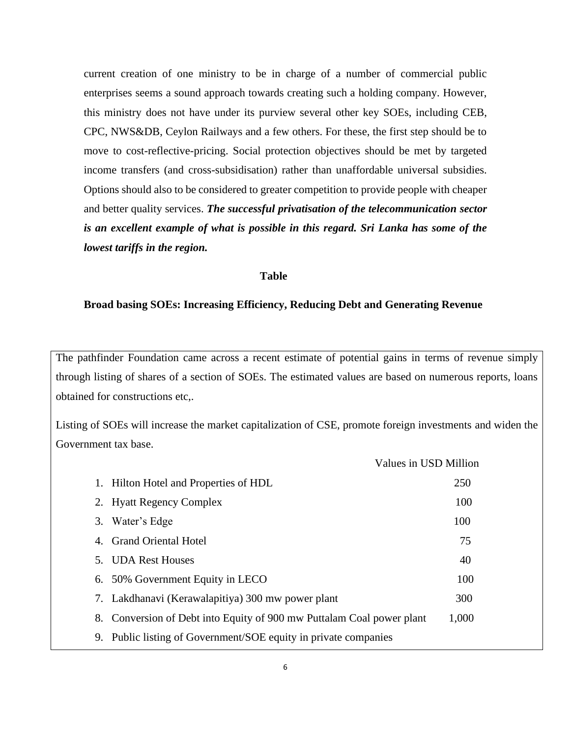current creation of one ministry to be in charge of a number of commercial public enterprises seems a sound approach towards creating such a holding company. However, this ministry does not have under its purview several other key SOEs, including CEB, CPC, NWS&DB, Ceylon Railways and a few others. For these, the first step should be to move to cost-reflective-pricing. Social protection objectives should be met by targeted income transfers (and cross-subsidisation) rather than unaffordable universal subsidies. Options should also to be considered to greater competition to provide people with cheaper and better quality services. *The successful privatisation of the telecommunication sector is an excellent example of what is possible in this regard. Sri Lanka has some of the lowest tariffs in the region.*

#### **Table**

#### **Broad basing SOEs: Increasing Efficiency, Reducing Debt and Generating Revenue**

The pathfinder Foundation came across a recent estimate of potential gains in terms of revenue simply through listing of shares of a section of SOEs. The estimated values are based on numerous reports, loans obtained for constructions etc,.

Listing of SOEs will increase the market capitalization of CSE, promote foreign investments and widen the Government tax base.

|                                                                       | Values in USD Million |
|-----------------------------------------------------------------------|-----------------------|
| 1. Hilton Hotel and Properties of HDL                                 | 250                   |
| 2. Hyatt Regency Complex                                              | 100                   |
| 3. Water's Edge                                                       | 100                   |
| 4. Grand Oriental Hotel                                               | 75                    |
| 5. UDA Rest Houses                                                    | 40                    |
| 6. 50% Government Equity in LECO                                      | 100                   |
| 7. Lakdhanavi (Kerawalapitiya) 300 mw power plant                     | 300                   |
| 8. Conversion of Debt into Equity of 900 mw Puttalam Coal power plant | 1,000                 |
| 9. Public listing of Government/SOE equity in private companies       |                       |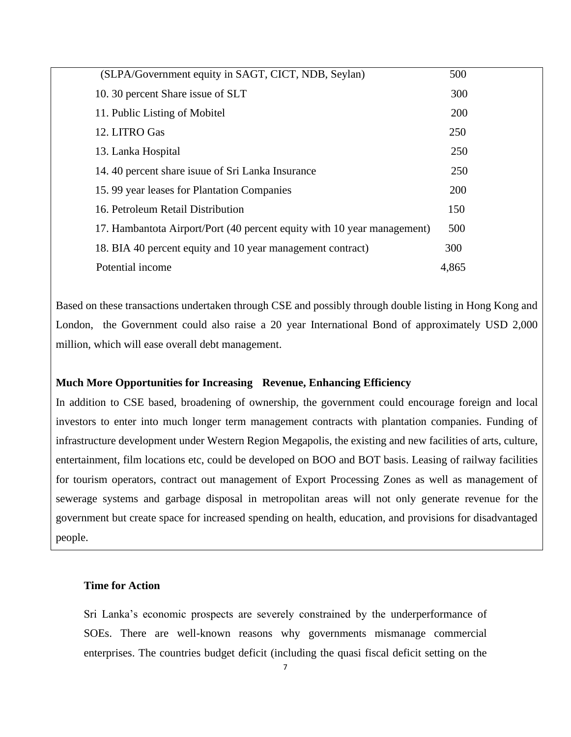| (SLPA/Government equity in SAGT, CICT, NDB, Seylan)                     | 500   |
|-------------------------------------------------------------------------|-------|
| 10. 30 percent Share issue of SLT                                       | 300   |
| 11. Public Listing of Mobitel                                           | 200   |
| 12. LITRO Gas                                                           | 250   |
| 13. Lanka Hospital                                                      | 250   |
| 14.40 percent share isuue of Sri Lanka Insurance                        | 250   |
| 15.99 year leases for Plantation Companies                              | 200   |
| 16. Petroleum Retail Distribution                                       | 150   |
| 17. Hambantota Airport/Port (40 percent equity with 10 year management) | 500   |
| 18. BIA 40 percent equity and 10 year management contract)              | 300   |
| Potential income                                                        | 4,865 |

Based on these transactions undertaken through CSE and possibly through double listing in Hong Kong and London, the Government could also raise a 20 year International Bond of approximately USD 2,000 million, which will ease overall debt management.

#### **Much More Opportunities for Increasing Revenue, Enhancing Efficiency**

In addition to CSE based, broadening of ownership, the government could encourage foreign and local investors to enter into much longer term management contracts with plantation companies. Funding of infrastructure development under Western Region Megapolis, the existing and new facilities of arts, culture, entertainment, film locations etc, could be developed on BOO and BOT basis. Leasing of railway facilities for tourism operators, contract out management of Export Processing Zones as well as management of sewerage systems and garbage disposal in metropolitan areas will not only generate revenue for the government but create space for increased spending on health, education, and provisions for disadvantaged people.

### **Time for Action**

Sri Lanka's economic prospects are severely constrained by the underperformance of SOEs. There are well-known reasons why governments mismanage commercial enterprises. The countries budget deficit (including the quasi fiscal deficit setting on the